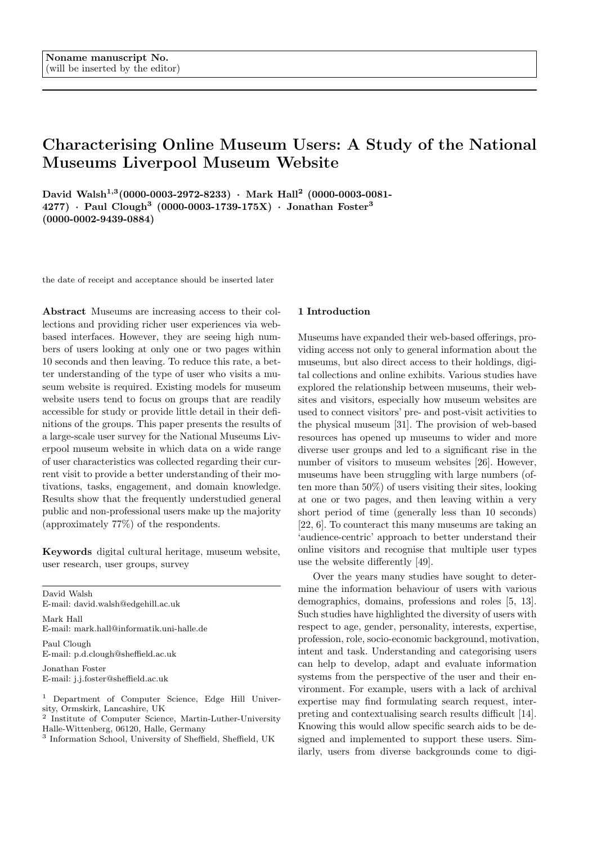# Characterising Online Museum Users: A Study of the National Museums Liverpool Museum Website

David Walsh<sup>1,3</sup>(0000-0003-2972-8233) • Mark Hall<sup>2</sup> (0000-0003-0081- $(4277)$  · Paul Clough<sup>3</sup> (0000-0003-1739-175X) · Jonathan Foster<sup>3</sup> (0000-0002-9439-0884)

the date of receipt and acceptance should be inserted later

Abstract Museums are increasing access to their collections and providing richer user experiences via webbased interfaces. However, they are seeing high numbers of users looking at only one or two pages within 10 seconds and then leaving. To reduce this rate, a better understanding of the type of user who visits a museum website is required. Existing models for museum website users tend to focus on groups that are readily accessible for study or provide little detail in their definitions of the groups. This paper presents the results of a large-scale user survey for the National Museums Liverpool museum website in which data on a wide range of user characteristics was collected regarding their current visit to provide a better understanding of their motivations, tasks, engagement, and domain knowledge. Results show that the frequently understudied general public and non-professional users make up the majority (approximately 77%) of the respondents.

Keywords digital cultural heritage, museum website, user research, user groups, survey

David Walsh E-mail: david.walsh@edgehill.ac.uk Mark Hall E-mail: mark.hall@informatik.uni-halle.de Paul Clough E-mail: p.d.clough@sheffield.ac.uk Jonathan Foster E-mail: j.j.foster@sheffield.ac.uk

<sup>1</sup> Department of Computer Science, Edge Hill University, Ormskirk, Lancashire, UK

<sup>2</sup> Institute of Computer Science, Martin-Luther-University Halle-Wittenberg, 06120, Halle, Germany

<sup>3</sup> Information School, University of Sheffield, Sheffield, UK

## 1 Introduction

Museums have expanded their web-based offerings, providing access not only to general information about the museums, but also direct access to their holdings, digital collections and online exhibits. Various studies have explored the relationship between museums, their websites and visitors, especially how museum websites are used to connect visitors' pre- and post-visit activities to the physical museum [31]. The provision of web-based resources has opened up museums to wider and more diverse user groups and led to a significant rise in the number of visitors to museum websites [26]. However, museums have been struggling with large numbers (often more than 50%) of users visiting their sites, looking at one or two pages, and then leaving within a very short period of time (generally less than 10 seconds) [22, 6]. To counteract this many museums are taking an 'audience-centric' approach to better understand their online visitors and recognise that multiple user types use the website differently [49].

Over the years many studies have sought to determine the information behaviour of users with various demographics, domains, professions and roles [5, 13]. Such studies have highlighted the diversity of users with respect to age, gender, personality, interests, expertise, profession, role, socio-economic background, motivation, intent and task. Understanding and categorising users can help to develop, adapt and evaluate information systems from the perspective of the user and their environment. For example, users with a lack of archival expertise may find formulating search request, interpreting and contextualising search results difficult [14]. Knowing this would allow specific search aids to be designed and implemented to support these users. Similarly, users from diverse backgrounds come to digi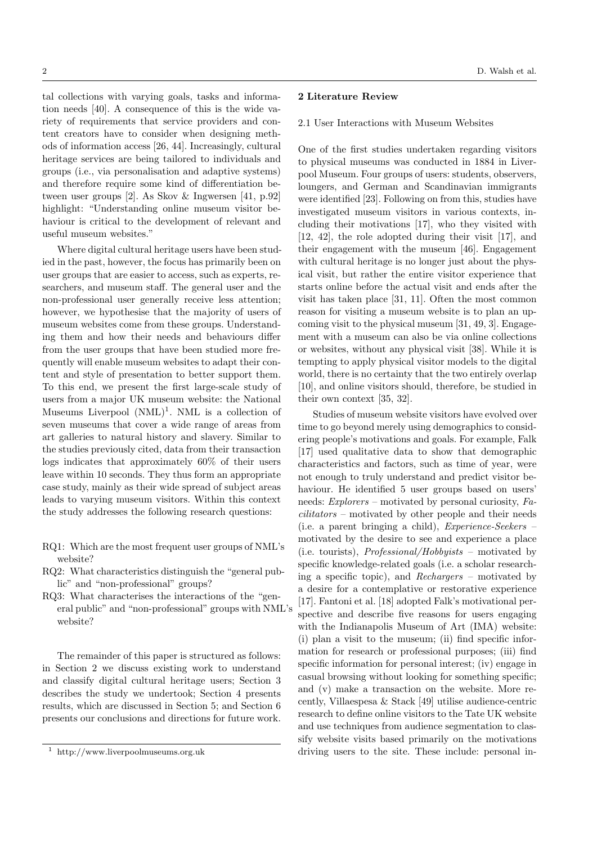tal collections with varying goals, tasks and information needs [40]. A consequence of this is the wide variety of requirements that service providers and content creators have to consider when designing methods of information access [26, 44]. Increasingly, cultural heritage services are being tailored to individuals and groups (i.e., via personalisation and adaptive systems) and therefore require some kind of differentiation between user groups [2]. As Skov & Ingwersen [41, p.92] highlight: "Understanding online museum visitor behaviour is critical to the development of relevant and useful museum websites."

Where digital cultural heritage users have been studied in the past, however, the focus has primarily been on user groups that are easier to access, such as experts, researchers, and museum staff. The general user and the non-professional user generally receive less attention; however, we hypothesise that the majority of users of museum websites come from these groups. Understanding them and how their needs and behaviours differ from the user groups that have been studied more frequently will enable museum websites to adapt their content and style of presentation to better support them. To this end, we present the first large-scale study of users from a major UK museum website: the National Museums Liverpool (NML)<sup>1</sup>. NML is a collection of seven museums that cover a wide range of areas from art galleries to natural history and slavery. Similar to the studies previously cited, data from their transaction logs indicates that approximately 60% of their users leave within 10 seconds. They thus form an appropriate case study, mainly as their wide spread of subject areas leads to varying museum visitors. Within this context the study addresses the following research questions:

- RQ1: Which are the most frequent user groups of NML's website?
- RQ2: What characteristics distinguish the "general public" and "non-professional" groups?
- RQ3: What characterises the interactions of the "general public" and "non-professional" groups with NML's website?

The remainder of this paper is structured as follows: in Section 2 we discuss existing work to understand and classify digital cultural heritage users; Section 3 describes the study we undertook; Section 4 presents results, which are discussed in Section 5; and Section 6 presents our conclusions and directions for future work.

# 2 Literature Review

#### 2.1 User Interactions with Museum Websites

One of the first studies undertaken regarding visitors to physical museums was conducted in 1884 in Liverpool Museum. Four groups of users: students, observers, loungers, and German and Scandinavian immigrants were identified [23]. Following on from this, studies have investigated museum visitors in various contexts, including their motivations [17], who they visited with [12, 42], the role adopted during their visit [17], and their engagement with the museum [46]. Engagement with cultural heritage is no longer just about the physical visit, but rather the entire visitor experience that starts online before the actual visit and ends after the visit has taken place [31, 11]. Often the most common reason for visiting a museum website is to plan an upcoming visit to the physical museum [31, 49, 3]. Engagement with a museum can also be via online collections or websites, without any physical visit [38]. While it is tempting to apply physical visitor models to the digital world, there is no certainty that the two entirely overlap [10], and online visitors should, therefore, be studied in their own context [35, 32].

Studies of museum website visitors have evolved over time to go beyond merely using demographics to considering people's motivations and goals. For example, Falk [17] used qualitative data to show that demographic characteristics and factors, such as time of year, were not enough to truly understand and predict visitor behaviour. He identified 5 user groups based on users' needs: Explorers – motivated by personal curiosity, Facilitators – motivated by other people and their needs (i.e. a parent bringing a child), Experience-Seekers – motivated by the desire to see and experience a place (i.e. tourists), Professional/Hobbyists – motivated by specific knowledge-related goals (i.e. a scholar researching a specific topic), and  $Recharges$  – motivated by a desire for a contemplative or restorative experience [17]. Fantoni et al. [18] adopted Falk's motivational perspective and describe five reasons for users engaging with the Indianapolis Museum of Art (IMA) website: (i) plan a visit to the museum; (ii) find specific information for research or professional purposes; (iii) find specific information for personal interest; (iv) engage in casual browsing without looking for something specific; and (v) make a transaction on the website. More recently, Villaespesa & Stack [49] utilise audience-centric research to define online visitors to the Tate UK website and use techniques from audience segmentation to classify website visits based primarily on the motivations driving users to the site. These include: personal in-

<sup>1</sup> http://www.liverpoolmuseums.org.uk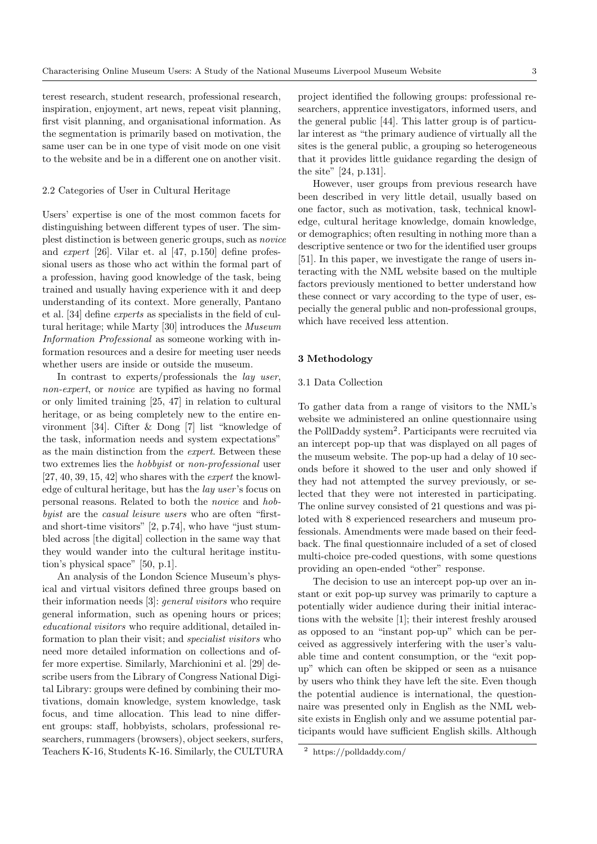terest research, student research, professional research, inspiration, enjoyment, art news, repeat visit planning, first visit planning, and organisational information. As the segmentation is primarily based on motivation, the same user can be in one type of visit mode on one visit to the website and be in a different one on another visit.

#### 2.2 Categories of User in Cultural Heritage

Users' expertise is one of the most common facets for distinguishing between different types of user. The simplest distinction is between generic groups, such as novice and expert [26]. Vilar et. al [47, p.150] define professional users as those who act within the formal part of a profession, having good knowledge of the task, being trained and usually having experience with it and deep understanding of its context. More generally, Pantano et al. [34] define experts as specialists in the field of cultural heritage; while Marty [30] introduces the Museum Information Professional as someone working with information resources and a desire for meeting user needs whether users are inside or outside the museum.

In contrast to experts/professionals the *lay user*, non-expert, or novice are typified as having no formal or only limited training [25, 47] in relation to cultural heritage, or as being completely new to the entire environment [34]. Cifter & Dong [7] list "knowledge of the task, information needs and system expectations" as the main distinction from the expert. Between these two extremes lies the hobbyist or non-professional user  $[27, 40, 39, 15, 42]$  who shares with the *expert* the knowledge of cultural heritage, but has the lay user 's focus on personal reasons. Related to both the novice and hobbyist are the casual leisure users who are often "firstand short-time visitors" [2, p.74], who have "just stumbled across [the digital] collection in the same way that they would wander into the cultural heritage institution's physical space" [50, p.1].

An analysis of the London Science Museum's physical and virtual visitors defined three groups based on their information needs [3]: general visitors who require general information, such as opening hours or prices; educational visitors who require additional, detailed information to plan their visit; and specialist visitors who need more detailed information on collections and offer more expertise. Similarly, Marchionini et al. [29] describe users from the Library of Congress National Digital Library: groups were defined by combining their motivations, domain knowledge, system knowledge, task focus, and time allocation. This lead to nine different groups: staff, hobbyists, scholars, professional researchers, rummagers (browsers), object seekers, surfers, Teachers K-16, Students K-16. Similarly, the CULTURA project identified the following groups: professional researchers, apprentice investigators, informed users, and the general public [44]. This latter group is of particular interest as "the primary audience of virtually all the sites is the general public, a grouping so heterogeneous that it provides little guidance regarding the design of the site" [24, p.131].

However, user groups from previous research have been described in very little detail, usually based on one factor, such as motivation, task, technical knowledge, cultural heritage knowledge, domain knowledge, or demographics; often resulting in nothing more than a descriptive sentence or two for the identified user groups [51]. In this paper, we investigate the range of users interacting with the NML website based on the multiple factors previously mentioned to better understand how these connect or vary according to the type of user, especially the general public and non-professional groups, which have received less attention.

#### 3 Methodology

### 3.1 Data Collection

To gather data from a range of visitors to the NML's website we administered an online questionnaire using the PollDaddy system<sup>2</sup>. Participants were recruited via an intercept pop-up that was displayed on all pages of the museum website. The pop-up had a delay of 10 seconds before it showed to the user and only showed if they had not attempted the survey previously, or selected that they were not interested in participating. The online survey consisted of 21 questions and was piloted with 8 experienced researchers and museum professionals. Amendments were made based on their feedback. The final questionnaire included of a set of closed multi-choice pre-coded questions, with some questions providing an open-ended "other" response.

The decision to use an intercept pop-up over an instant or exit pop-up survey was primarily to capture a potentially wider audience during their initial interactions with the website [1]; their interest freshly aroused as opposed to an "instant pop-up" which can be perceived as aggressively interfering with the user's valuable time and content consumption, or the "exit popup" which can often be skipped or seen as a nuisance by users who think they have left the site. Even though the potential audience is international, the questionnaire was presented only in English as the NML website exists in English only and we assume potential participants would have sufficient English skills. Although

<sup>2</sup> https://polldaddy.com/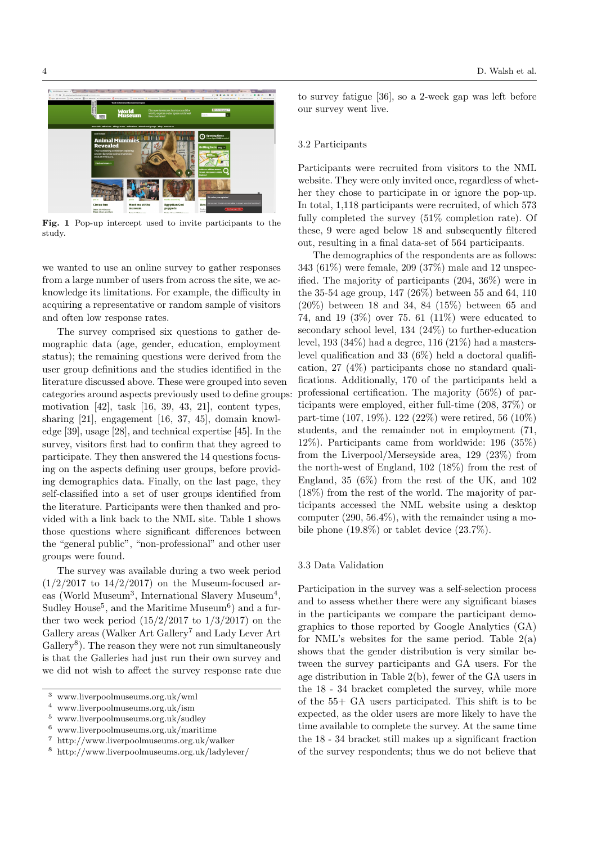

Fig. 1 Pop-up intercept used to invite participants to the study.

we wanted to use an online survey to gather responses from a large number of users from across the site, we acknowledge its limitations. For example, the difficulty in acquiring a representative or random sample of visitors and often low response rates.

The survey comprised six questions to gather demographic data (age, gender, education, employment status); the remaining questions were derived from the user group definitions and the studies identified in the literature discussed above. These were grouped into seven categories around aspects previously used to define groups: motivation [42], task [16, 39, 43, 21], content types, sharing [21], engagement [16, 37, 45], domain knowledge [39], usage [28], and technical expertise [45]. In the survey, visitors first had to confirm that they agreed to participate. They then answered the 14 questions focusing on the aspects defining user groups, before providing demographics data. Finally, on the last page, they self-classified into a set of user groups identified from the literature. Participants were then thanked and provided with a link back to the NML site. Table 1 shows those questions where significant differences between the "general public", "non-professional" and other user groups were found.

The survey was available during a two week period  $(1/2/2017$  to  $14/2/2017)$  on the Museum-focused areas (World Museum<sup>3</sup>, International Slavery Museum<sup>4</sup>, Sudley House<sup>5</sup>, and the Maritime Museum<sup>6</sup>) and a further two week period  $(15/2/2017$  to  $1/3/2017)$  on the Gallery areas (Walker Art Gallery<sup>7</sup> and Lady Lever Art Gallery<sup>8</sup>). The reason they were not run simultaneously is that the Galleries had just run their own survey and we did not wish to affect the survey response rate due

to survey fatigue [36], so a 2-week gap was left before our survey went live.

#### 3.2 Participants

Participants were recruited from visitors to the NML website. They were only invited once, regardless of whether they chose to participate in or ignore the pop-up. In total, 1,118 participants were recruited, of which 573 fully completed the survey (51% completion rate). Of these, 9 were aged below 18 and subsequently filtered out, resulting in a final data-set of 564 participants.

The demographics of the respondents are as follows: 343 (61%) were female, 209 (37%) male and 12 unspecified. The majority of participants (204, 36%) were in the 35-54 age group, 147 (26%) between 55 and 64, 110 (20%) between 18 and 34, 84 (15%) between 65 and 74, and 19 (3%) over 75. 61 (11%) were educated to secondary school level, 134 (24%) to further-education level, 193 (34%) had a degree, 116 (21%) had a masterslevel qualification and 33 (6%) held a doctoral qualification, 27 (4%) participants chose no standard qualifications. Additionally, 170 of the participants held a professional certification. The majority (56%) of participants were employed, either full-time (208, 37%) or part-time (107, 19%). 122 (22%) were retired, 56 (10%) students, and the remainder not in employment (71, 12%). Participants came from worldwide: 196 (35%) from the Liverpool/Merseyside area, 129 (23%) from the north-west of England, 102 (18%) from the rest of England, 35 (6%) from the rest of the UK, and 102 (18%) from the rest of the world. The majority of participants accessed the NML website using a desktop computer (290, 56.4%), with the remainder using a mobile phone (19.8%) or tablet device (23.7%).

### 3.3 Data Validation

Participation in the survey was a self-selection process and to assess whether there were any significant biases in the participants we compare the participant demographics to those reported by Google Analytics (GA) for NML's websites for the same period. Table  $2(a)$ shows that the gender distribution is very similar between the survey participants and GA users. For the age distribution in Table 2(b), fewer of the GA users in the 18 - 34 bracket completed the survey, while more of the 55+ GA users participated. This shift is to be expected, as the older users are more likely to have the time available to complete the survey. At the same time the 18 - 34 bracket still makes up a significant fraction of the survey respondents; thus we do not believe that

<sup>&</sup>lt;sup>3</sup> www.liverpoolmuseums.org.uk/wml<br> $\frac{4}{3}$  www.liverpoolmuseums.org.uk/ism

<sup>&</sup>lt;sup>4</sup> www.liverpoolmuseums.org.uk/ism

<sup>5</sup> www.liverpoolmuseums.org.uk/sudley

<sup>6</sup> www.liverpoolmuseums.org.uk/maritime

<sup>7</sup> http://www.liverpoolmuseums.org.uk/walker

<sup>8</sup> http://www.liverpoolmuseums.org.uk/ladylever/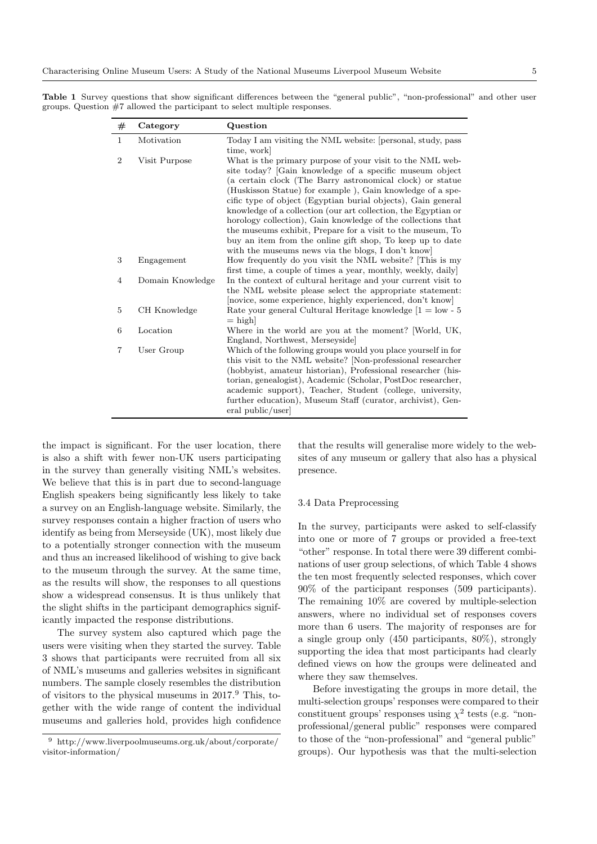Table 1 Survey questions that show significant differences between the "general public", "non-professional" and other user groups. Question  $#7$  allowed the participant to select multiple responses.

| #              | Category         | Question                                                                                                                                                                                                                                                                                                                                                                                                                                                                                                                                                                                                                         |
|----------------|------------------|----------------------------------------------------------------------------------------------------------------------------------------------------------------------------------------------------------------------------------------------------------------------------------------------------------------------------------------------------------------------------------------------------------------------------------------------------------------------------------------------------------------------------------------------------------------------------------------------------------------------------------|
| $\mathbf{1}$   | Motivation       | Today I am visiting the NML website: [personal, study, pass]<br>time, work                                                                                                                                                                                                                                                                                                                                                                                                                                                                                                                                                       |
| $\overline{2}$ | Visit Purpose    | What is the primary purpose of your visit to the NML web-<br>site today? [Gain knowledge of a specific museum object<br>(a certain clock (The Barry astronomical clock) or statue<br>(Huskisson Statue) for example), Gain knowledge of a spe-<br>cific type of object (Egyptian burial objects), Gain general<br>knowledge of a collection (our art collection, the Egyptian or<br>horology collection), Gain knowledge of the collections that<br>the museums exhibit, Prepare for a visit to the museum, To<br>buy an item from the online gift shop, To keep up to date<br>with the museums news via the blogs, I don't know |
| 3              | Engagement       | How frequently do you visit the NML website? This is my<br>first time, a couple of times a year, monthly, weekly, daily                                                                                                                                                                                                                                                                                                                                                                                                                                                                                                          |
| $\overline{4}$ | Domain Knowledge | In the context of cultural heritage and your current visit to<br>the NML website please select the appropriate statement:<br>[novice, some experience, highly experienced, don't know]                                                                                                                                                                                                                                                                                                                                                                                                                                           |
| 5              | CH Knowledge     | Rate your general Cultural Heritage knowledge $[1 = \text{low} - 5]$<br>$=$ high                                                                                                                                                                                                                                                                                                                                                                                                                                                                                                                                                 |
| 6              | Location         | Where in the world are you at the moment? [World, UK,<br>England, Northwest, Merseyside                                                                                                                                                                                                                                                                                                                                                                                                                                                                                                                                          |
| 7              | User Group       | Which of the following groups would you place yourself in for<br>this visit to the NML website? [Non-professional researcher<br>(hobbyist, amateur historian), Professional researcher (his-<br>torian, genealogist), Academic (Scholar, PostDoc researcher,<br>academic support), Teacher, Student (college, university,<br>further education), Museum Staff (curator, archivist), Gen-<br>eral public/user                                                                                                                                                                                                                     |

the impact is significant. For the user location, there is also a shift with fewer non-UK users participating in the survey than generally visiting NML's websites. We believe that this is in part due to second-language English speakers being significantly less likely to take a survey on an English-language website. Similarly, the survey responses contain a higher fraction of users who identify as being from Merseyside (UK), most likely due to a potentially stronger connection with the museum and thus an increased likelihood of wishing to give back to the museum through the survey. At the same time, as the results will show, the responses to all questions show a widespread consensus. It is thus unlikely that the slight shifts in the participant demographics significantly impacted the response distributions.

The survey system also captured which page the users were visiting when they started the survey. Table 3 shows that participants were recruited from all six of NML's museums and galleries websites in significant numbers. The sample closely resembles the distribution of visitors to the physical museums in 2017.<sup>9</sup> This, together with the wide range of content the individual museums and galleries hold, provides high confidence

that the results will generalise more widely to the websites of any museum or gallery that also has a physical presence.

#### 3.4 Data Preprocessing

In the survey, participants were asked to self-classify into one or more of 7 groups or provided a free-text "other" response. In total there were 39 different combinations of user group selections, of which Table 4 shows the ten most frequently selected responses, which cover 90% of the participant responses (509 participants). The remaining 10% are covered by multiple-selection answers, where no individual set of responses covers more than 6 users. The majority of responses are for a single group only (450 participants, 80%), strongly supporting the idea that most participants had clearly defined views on how the groups were delineated and where they saw themselves.

Before investigating the groups in more detail, the multi-selection groups' responses were compared to their constituent groups' responses using  $\chi^2$  tests (e.g. "nonprofessional/general public" responses were compared to those of the "non-professional" and "general public" groups). Our hypothesis was that the multi-selection

<sup>9</sup> http://www.liverpoolmuseums.org.uk/about/corporate/ visitor-information/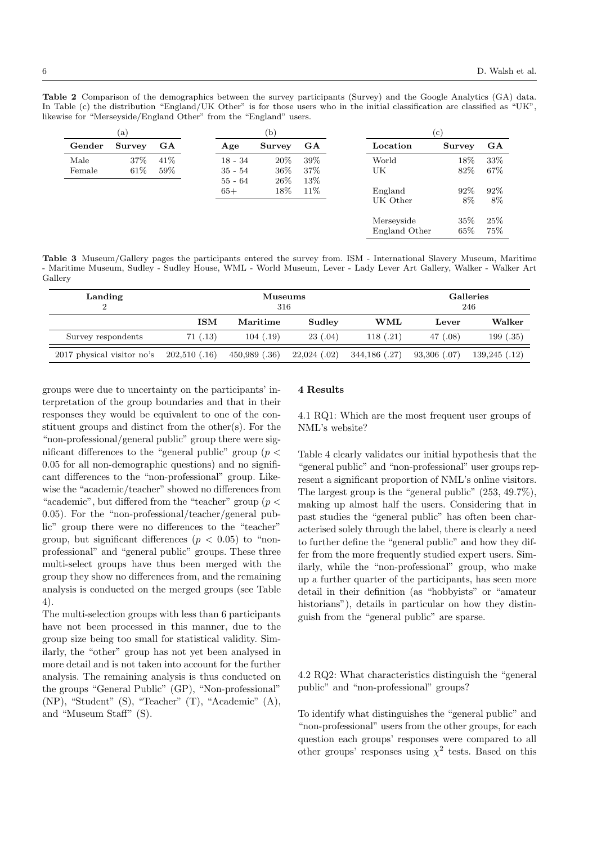Table 2 Comparison of the demographics between the survey participants (Survey) and the Google Analytics (GA) data. In Table (c) the distribution "England/UK Other" is for those users who in the initial classification are classified as "UK". likewise for "Merseyside/England Other" from the "England" users.

| (a)    |               |      |           | (b)           |      |  |               | $\left( $ $\right)$ |      |  |
|--------|---------------|------|-----------|---------------|------|--|---------------|---------------------|------|--|
| Gender | <b>Survey</b> | GА   | Age       | <b>Survey</b> | GA   |  | Location      | Survey              | GA   |  |
| Male   | 37%           | 41\% | $18 - 34$ | 20%           | 39%  |  | World         | 18%                 | 33%  |  |
| Female | 61\%          | 59%  | $35 - 54$ | $36\%$        | 37%  |  | UK            | 82\%                | 67\% |  |
|        |               |      | $55 - 64$ | 26%           | 13%  |  |               |                     |      |  |
|        |               |      | $65+$     | 18%           | 11\% |  | England       | 92%                 | 92%  |  |
|        |               |      |           |               |      |  | UK Other      | 8%                  | 8%   |  |
|        |               |      |           |               |      |  | Merseyside    | $35\%$              | 25\% |  |
|        |               |      |           |               |      |  | England Other | $65\%$              | 75%  |  |

Table 3 Museum/Gallery pages the participants entered the survey from. ISM - International Slavery Museum, Maritime - Maritime Museum, Sudley - Sudley House, WML - World Museum, Lever - Lady Lever Art Gallery, Walker - Walker Art Gallery

| Landing                    |              | Museums<br>316            |                | Galleries<br>246 |              |               |
|----------------------------|--------------|---------------------------|----------------|------------------|--------------|---------------|
|                            | <b>ISM</b>   | WML<br>Sudley<br>Maritime |                |                  |              | Walker        |
| Survey respondents         | 71(.13)      | 104(.19)                  | 23(0.04)       | 118(.21)         | 47 (.08)     | 199(.35)      |
| 2017 physical visitor no's | 202,510(.16) | $450,989$ (.36)           | $22,024$ (.02) | 344,186 (.27)    | 93,306 (.07) | 139,245(0.12) |

groups were due to uncertainty on the participants' interpretation of the group boundaries and that in their responses they would be equivalent to one of the constituent groups and distinct from the other(s). For the "non-professional/general public" group there were significant differences to the "general public" group ( $p <$ 0.05 for all non-demographic questions) and no significant differences to the "non-professional" group. Likewise the "academic/teacher" showed no differences from "academic", but differed from the "teacher" group ( $p <$ 0.05). For the "non-professional/teacher/general public" group there were no differences to the "teacher" group, but significant differences ( $p < 0.05$ ) to "nonprofessional" and "general public" groups. These three multi-select groups have thus been merged with the group they show no differences from, and the remaining analysis is conducted on the merged groups (see Table 4).

The multi-selection groups with less than 6 participants have not been processed in this manner, due to the group size being too small for statistical validity. Similarly, the "other" group has not yet been analysed in more detail and is not taken into account for the further analysis. The remaining analysis is thus conducted on the groups "General Public" (GP), "Non-professional" (NP), "Student" (S), "Teacher" (T), "Academic" (A), and "Museum Staff" (S).

# 4 Results

4.1 RQ1: Which are the most frequent user groups of NML's website?

Table 4 clearly validates our initial hypothesis that the "general public" and "non-professional" user groups represent a significant proportion of NML's online visitors. The largest group is the "general public" (253, 49.7%), making up almost half the users. Considering that in past studies the "general public" has often been characterised solely through the label, there is clearly a need to further define the "general public" and how they differ from the more frequently studied expert users. Similarly, while the "non-professional" group, who make up a further quarter of the participants, has seen more detail in their definition (as "hobbyists" or "amateur historians"), details in particular on how they distinguish from the "general public" are sparse.

4.2 RQ2: What characteristics distinguish the "general public" and "non-professional" groups?

To identify what distinguishes the "general public" and "non-professional" users from the other groups, for each question each groups' responses were compared to all other groups' responses using  $\chi^2$  tests. Based on this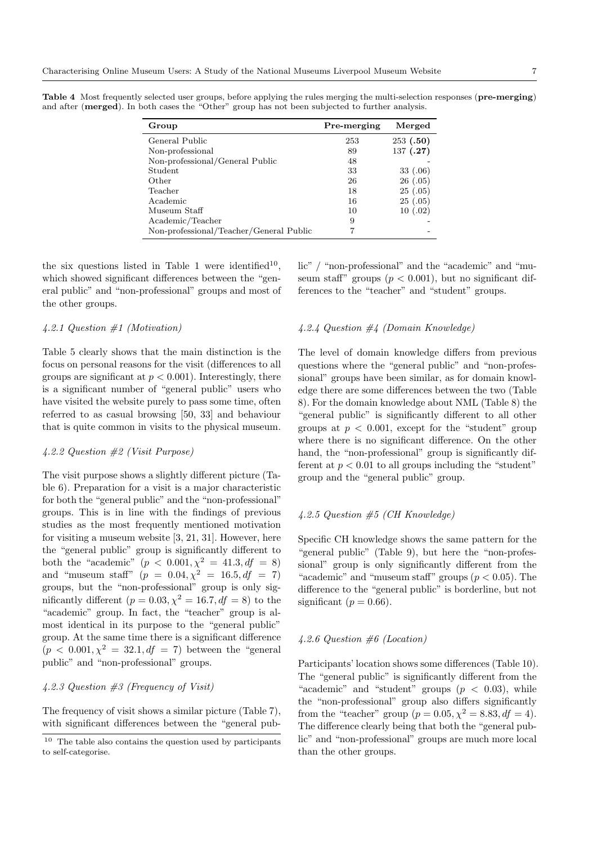Table 4 Most frequently selected user groups, before applying the rules merging the multi-selection responses (pre-merging) and after (merged). In both cases the "Other" group has not been subjected to further analysis.

| Group                                   | Pre-merging | Merged   |
|-----------------------------------------|-------------|----------|
| General Public                          | 253         | 253(.50) |
| Non-professional                        | 89          | 137(.27) |
| Non-professional/General Public         | 48          |          |
| Student                                 | 33          | 33 (.06) |
| Other                                   | 26          | 26(.05)  |
| Teacher                                 | 18          | 25(.05)  |
| Academic                                | 16          | 25(.05)  |
| Museum Staff                            | 10          | 10(.02)  |
| Academic/Teacher                        | 9           |          |
| Non-professional/Teacher/General Public |             |          |

the six questions listed in Table 1 were identified<sup>10</sup>, which showed significant differences between the "general public" and "non-professional" groups and most of the other groups.

## 4.2.1 Question #1 (Motivation)

Table 5 clearly shows that the main distinction is the focus on personal reasons for the visit (differences to all groups are significant at  $p < 0.001$ ). Interestingly, there is a significant number of "general public" users who have visited the website purely to pass some time, often referred to as casual browsing [50, 33] and behaviour that is quite common in visits to the physical museum.

#### 4.2.2 Question #2 (Visit Purpose)

The visit purpose shows a slightly different picture (Table 6). Preparation for a visit is a major characteristic for both the "general public" and the "non-professional" groups. This is in line with the findings of previous studies as the most frequently mentioned motivation for visiting a museum website [3, 21, 31]. However, here the "general public" group is significantly different to both the "academic"  $(p < 0.001, \chi^2 = 41.3, df = 8)$ and "museum staff"  $(p = 0.04, \chi^2 = 16.5, df = 7)$ groups, but the "non-professional" group is only significantly different  $(p = 0.03, \chi^2 = 16.7, df = 8)$  to the "academic" group. In fact, the "teacher" group is almost identical in its purpose to the "general public" group. At the same time there is a significant difference  $(p < 0.001, \chi^2 = 32.1, df = 7)$  between the "general public" and "non-professional" groups.

# 4.2.3 Question #3 (Frequency of Visit)

The frequency of visit shows a similar picture (Table 7), with significant differences between the "general public" / "non-professional" and the "academic" and "museum staff" groups ( $p < 0.001$ ), but no significant differences to the "teacher" and "student" groups.

#### 4.2.4 Question #4 (Domain Knowledge)

The level of domain knowledge differs from previous questions where the "general public" and "non-professional" groups have been similar, as for domain knowledge there are some differences between the two (Table 8). For the domain knowledge about NML (Table 8) the "general public" is significantly different to all other groups at  $p < 0.001$ , except for the "student" group where there is no significant difference. On the other hand, the "non-professional" group is significantly different at  $p < 0.01$  to all groups including the "student" group and the "general public" group.

# 4.2.5 Question #5 (CH Knowledge)

Specific CH knowledge shows the same pattern for the "general public" (Table 9), but here the "non-professional" group is only significantly different from the "academic" and "museum staff" groups ( $p < 0.05$ ). The difference to the "general public" is borderline, but not significant ( $p = 0.66$ ).

## 4.2.6 Question #6 (Location)

Participants' location shows some differences (Table 10). The "general public" is significantly different from the "academic" and "student" groups  $(p < 0.03)$ , while the "non-professional" group also differs significantly from the "teacher" group ( $p = 0.05, \chi^2 = 8.83, df = 4$ ). The difference clearly being that both the "general public" and "non-professional" groups are much more local than the other groups.

<sup>10</sup> The table also contains the question used by participants to self-categorise.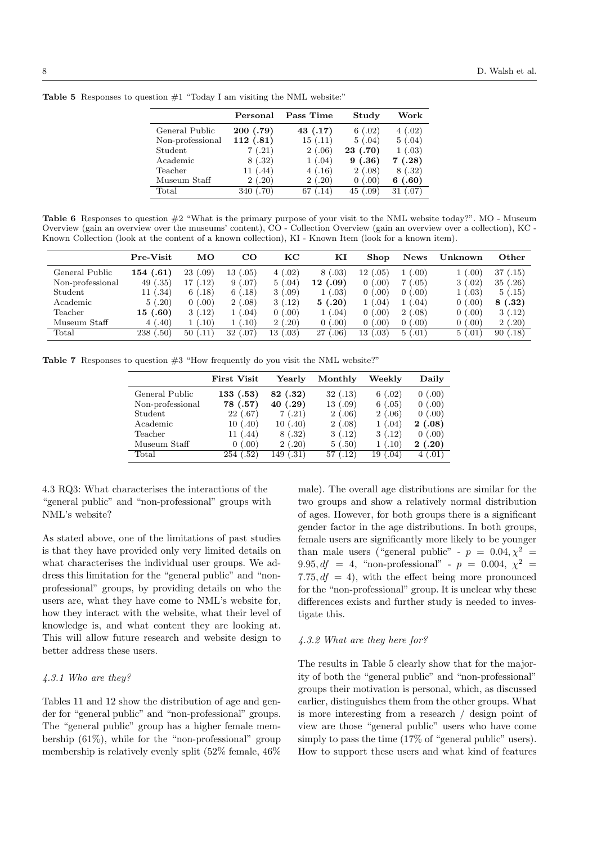|                  | Personal   | Pass Time | Study   | Work    |
|------------------|------------|-----------|---------|---------|
| General Public   | 200(.79)   | 43 (.17)  | 6(.02)  | 4(.02)  |
| Non-professional | 112(.81)   | 15(.11)   | 5(.04)  | 5(.04)  |
| Student          | 7(.21)     | 2(.06)    | 23(.70) | 1(.03)  |
| Academic         | 8(.32)     | 1(.04)    | 9(.36)  | 7(.28)  |
| Teacher          | 11 $(.44)$ | 4(.16)    | 2(.08)  | 8(.32)  |
| Museum Staff     | 2(.20)     | 2(.20)    | 0(.00)  | 6(.60)  |
| Total            | 340 (.70)  | 67(0.14)  | 45(.09) | 31(.07) |

Table 5 Responses to question  $#1$  "Today I am visiting the NML website:"

Table 6 Responses to question #2 "What is the primary purpose of your visit to the NML website today?". MO - Museum Overview (gain an overview over the museums' content), CO - Collection Overview (gain an overview over a collection), KC - Known Collection (look at the content of a known collection), KI - Known Item (look for a known item).

|                  | Pre-Visit      | MО      | $_{\rm CO}$   | KС                     | ΚI                 | Shop                   | <b>News</b>               | Unknown           | Other    |
|------------------|----------------|---------|---------------|------------------------|--------------------|------------------------|---------------------------|-------------------|----------|
| General Public   | 154 (.61)      | 23(.09) | 13(.05)       | 4(.02)                 | 8(.03)             | (.05)<br>12 (          | (00, 0)<br>1 <sub>1</sub> | $\left(00\right)$ | 37(0.15) |
| Non-professional | 49 (.35)       | 17(.12) | 9(.07)        | 5(.04)                 | $12\,$<br>(.09)    | (.00)<br>0(            | 7(.05)                    | 3(.02)            | 35(.26)  |
| Student          | 11(.34)        | 6(.18)  | 6(.18)        | 3(.09)                 | 1(.03)             | 0(.00)                 | 0(.00)                    | 1(.03)            | 5(.15)   |
| Academic         | 5(.20)         | 0(.00)  | 2(.08)        | 3(.12)                 | 5(.20)             | (.04)<br>1 (           | .04)<br>1(                | 0(.00)            | 8(.32)   |
| Teacher          | (.60)<br>15 (  | 3(.12)  | 1(.04)        | 0(.00)                 | 1(.04)             | 0(.00)                 | (0.08)<br>2(              | 0(.00)            | 3(.12)   |
| Museum Staff     | 4(.40)         | 1(.10)  | (0.10)<br>1 ( | .20)<br>2 <sub>1</sub> | 0(.00)             | (00)<br>0 <sup>0</sup> | 0(.00)                    | 0(.00)            | 2(.20)   |
| Total            | (.50)<br>238 ( | 50(.11) | (07)<br>32    | .03)<br>13             | $06^{\circ}$<br>27 | 0.03)<br>13            | 5(<br>$\left( .01\right)$ | 5(.01)            | 90(.18)  |

**Table 7** Responses to question  $#3$  "How frequently do you visit the NML website?"

|                  | <b>First Visit</b> | Yearly   | Monthly  | Weeklv   | Daily  |
|------------------|--------------------|----------|----------|----------|--------|
| General Public   | 133(.53)           | 82 (.32) | 32(.13)  | 6(.02)   | 0(.00) |
| Non-professional | 78(.57)            | 40(.29)  | 13(0.09) | 6(.05)   | 0(.00) |
| Student          | 22(.67)            | 7(.21)   | 2(.06)   | 2(.06)   | 0(.00) |
| Academic         | 10(.40)            | 10(0.40) | 2(.08)   | 1(.04)   | 2(.08) |
| Teacher          | 11(0.44)           | 8(.32)   | 3(.12)   | 3(.12)   | 0(.00) |
| Museum Staff     | 0(.00)             | 2(.20)   | 5(.50)   | 1(.10)   | 2(.20) |
| Total            | 254(.52)           | 149(.31) | 57(.12)  | 19 (.04) | 4(.01) |

4.3 RQ3: What characterises the interactions of the "general public" and "non-professional" groups with NML's website?

As stated above, one of the limitations of past studies is that they have provided only very limited details on what characterises the individual user groups. We address this limitation for the "general public" and "nonprofessional" groups, by providing details on who the users are, what they have come to NML's website for, how they interact with the website, what their level of knowledge is, and what content they are looking at. This will allow future research and website design to better address these users.

## 4.3.1 Who are they?

Tables 11 and 12 show the distribution of age and gender for "general public" and "non-professional" groups. The "general public" group has a higher female membership  $(61\%)$ , while for the "non-professional" group membership is relatively evenly split (52% female, 46% male). The overall age distributions are similar for the two groups and show a relatively normal distribution of ages. However, for both groups there is a significant gender factor in the age distributions. In both groups, female users are significantly more likely to be younger than male users ("general public" -  $p = 0.04, \chi^2$  = 9.95,  $df = 4$ , "non-professional" -  $p = 0.004$ ,  $\chi^2 =$ 7.75,  $df = 4$ ), with the effect being more pronounced for the "non-professional" group. It is unclear why these differences exists and further study is needed to investigate this.

#### 4.3.2 What are they here for?

The results in Table 5 clearly show that for the majority of both the "general public" and "non-professional" groups their motivation is personal, which, as discussed earlier, distinguishes them from the other groups. What is more interesting from a research / design point of view are those "general public" users who have come simply to pass the time  $(17\% \text{ of "general public" users}).$ How to support these users and what kind of features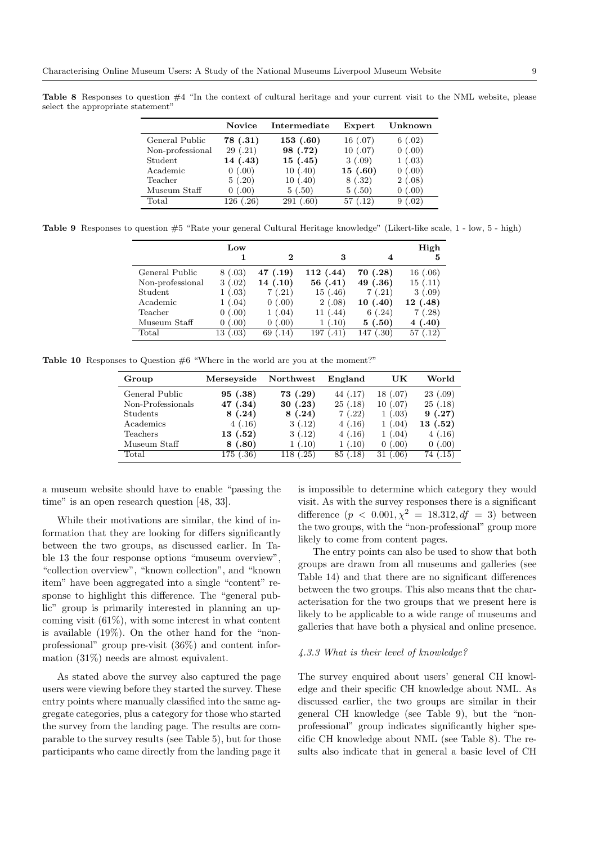Table 8 Responses to question #4 "In the context of cultural heritage and your current visit to the NML website, please select the appropriate statement'

|                  | <b>Novice</b> | Intermediate | Expert  | Unknown |
|------------------|---------------|--------------|---------|---------|
| General Public   | 78(.31)       | 153(.60)     | 16(.07) | 6(.02)  |
| Non-professional | 29(.21)       | 98 (.72)     | 10(.07) | 0(.00)  |
| Student          | 14(0.43)      | 15(.45)      | 3(.09)  | 1(.03)  |
| Academic         | 0(.00)        | 10(.40)      | 15(.60) | 0(.00)  |
| Teacher          | 5(.20)        | 10(.40)      | 8(.32)  | 2(.08)  |
| Museum Staff     | 0(.00)        | 5(.50)       | 5(.50)  | 0(.00)  |
| Total            | 126(.26)      | 291(.60)     | 57(.12) | 9(.02)  |

Table 9 Responses to question #5 "Rate your general Cultural Heritage knowledge" (Likert-like scale, 1 - low, 5 - high)

|                  | Low               | 2        | 3            | 4            | High<br>5 |
|------------------|-------------------|----------|--------------|--------------|-----------|
| General Public   | 8(.03)            | 47(0.19) | 112 (.44)    | 70(.28)      | 16(.06)   |
| Non-professional | 3(.02)            | 14(.10)  | 56(0.41)     | 49 (.36)     | 15(.11)   |
| Student          | 1(.03)            | 7(.21)   | 15(.46)      | 7(.21)       | 3(.09)    |
| Academic         | 1(.04)            | 0(.00)   | 2(.08)       | 10(.40)      | 12(0.48)  |
| Teacher          | (.00)<br>0        | 1(.04)   | 11 $(.44)$   | 6(.24)       | 7(.28)    |
| Museum Staff     | (.00)<br>$\theta$ | 0(.00)   | 1(.10)       | 5(.50)       | 4(0.40)   |
| Total            | (.03)<br>13       | 69(.14)  | (.41)<br>197 | 147<br>(.30) | 57(.12)   |

**Table 10** Responses to Question  $#6$  "Where in the world are you at the moment?"

| Group             | Merseyside | Northwest      | England  | UK          | World    |
|-------------------|------------|----------------|----------|-------------|----------|
| General Public    | 95(.38)    | 73(0.29)       | 44 (.17) | 18 (.07)    | 23(.09)  |
| Non-Professionals | 47 (.34)   | 30(.23)        | 25(.18)  | 10(.07)     | 25(.18)  |
| Students          | 8(.24)     | 8(.24)         | 7(.22)   | 1(.03)      | 9(.27)   |
| Academics         | 4(.16)     | 3(.12)         | 4(.16)   | 1(.04)      | 13(.52)  |
| Teachers          | 13(.52)    | 3(.12)         | 4(.16)   | 1(.04)      | 4(.16)   |
| Museum Staff      | (.80)<br>8 | 1(.10)         | 1(.10)   | 0(.00)      | 0(.00)   |
| Total             | 175 (.36)  | (.25)<br>118 ( | 85 (.18) | (.06)<br>31 | 74 (.15) |

a museum website should have to enable "passing the time" is an open research question [48, 33].

While their motivations are similar, the kind of information that they are looking for differs significantly between the two groups, as discussed earlier. In Table 13 the four response options "museum overview", "collection overview", "known collection", and "known item" have been aggregated into a single "content" response to highlight this difference. The "general public" group is primarily interested in planning an upcoming visit  $(61\%)$ , with some interest in what content is available (19%). On the other hand for the "nonprofessional" group pre-visit (36%) and content information (31%) needs are almost equivalent.

As stated above the survey also captured the page users were viewing before they started the survey. These entry points where manually classified into the same aggregate categories, plus a category for those who started the survey from the landing page. The results are comparable to the survey results (see Table 5), but for those participants who came directly from the landing page it

is impossible to determine which category they would visit. As with the survey responses there is a significant difference  $(p < 0.001, \chi^2 = 18.312, df = 3)$  between the two groups, with the "non-professional" group more likely to come from content pages.

The entry points can also be used to show that both groups are drawn from all museums and galleries (see Table 14) and that there are no significant differences between the two groups. This also means that the characterisation for the two groups that we present here is likely to be applicable to a wide range of museums and galleries that have both a physical and online presence.

# 4.3.3 What is their level of knowledge?

The survey enquired about users' general CH knowledge and their specific CH knowledge about NML. As discussed earlier, the two groups are similar in their general CH knowledge (see Table 9), but the "nonprofessional" group indicates significantly higher specific CH knowledge about NML (see Table 8). The results also indicate that in general a basic level of CH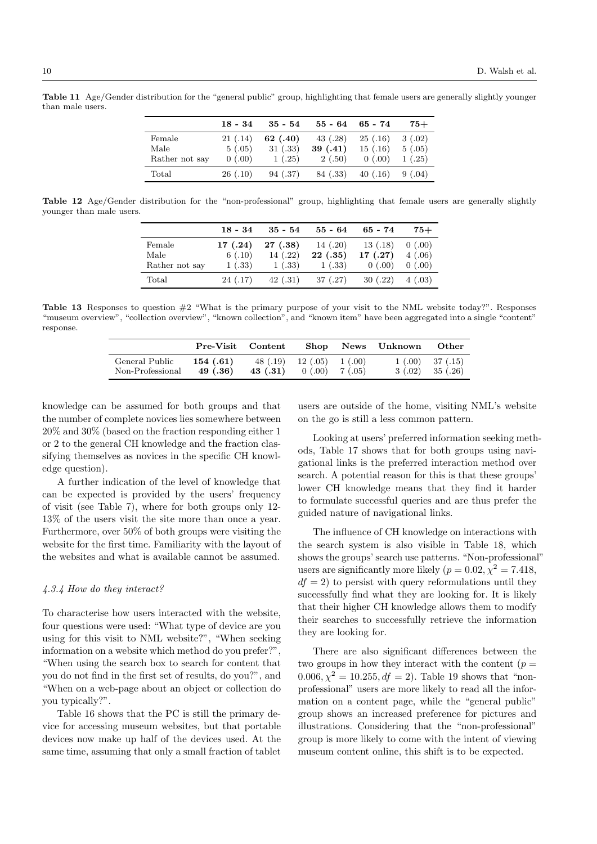$18 - 34$   $35 - 54$   $55 - 64$   $65 - 74$   $75 +$ Female 21 (.14) **62 (.40)** 43 (.28) 25 (.16) 3 (.02) Male  $5(.05)$   $31(.33)$  **39 (.41)**  $15(.16)$   $5(.05)$ Rather not say 0 (.00) 1 (.25) 2 (.50) 0 (.00) 1 (.25) Total 26 (.10) 94 (.37) 84 (.33) 40 (.16) 9 (.04)

Table 11 Age/Gender distribution for the "general public" group, highlighting that female users are generally slightly younger than male users.

Table 12 Age/Gender distribution for the "non-professional" group, highlighting that female users are generally slightly younger than male users.

|                | 18 - 34  | $35 - 54$ | $55 - 64$ | $65 - 74$ | $75+$  |
|----------------|----------|-----------|-----------|-----------|--------|
| Female         | 17(0.24) | 27(.38)   | 14(.20)   | 13(.18)   | 0(.00) |
| Male           | 6(.10)   | 14(.22)   | 22(.35)   | 17(0.27)  | 4(.06) |
| Rather not say | 1(.33)   | 1(.33)    | 1(.33)    | 0(.00)    | 0(.00) |
| Total          | 24 (.17) | 42(.31)   | 37 (.27)  | 30(.22)   | 4(.03) |

Table 13 Responses to question #2 "What is the primary purpose of your visit to the NML website today?". Responses "museum overview", "collection overview", "known collection", and "known item" have been aggregated into a single "content" response.

|                                    | Pre-Visit Content   |          |                                                |         | Shop News Unknown Other |                                 |
|------------------------------------|---------------------|----------|------------------------------------------------|---------|-------------------------|---------------------------------|
| General Public<br>Non-Professional | 154(.61)<br>49(.36) | 43(0.31) | $48(.19) \quad 12(.05) \quad 1(.00)$<br>0(.00) | 7 (.05) | 3(.02)                  | $1(.00)$ 37 $(.15)$<br>35 (.26) |

knowledge can be assumed for both groups and that the number of complete novices lies somewhere between 20% and 30% (based on the fraction responding either 1 or 2 to the general CH knowledge and the fraction classifying themselves as novices in the specific CH knowledge question).

A further indication of the level of knowledge that can be expected is provided by the users' frequency of visit (see Table 7), where for both groups only 12- 13% of the users visit the site more than once a year. Furthermore, over 50% of both groups were visiting the website for the first time. Familiarity with the layout of the websites and what is available cannot be assumed.

#### 4.3.4 How do they interact?

To characterise how users interacted with the website, four questions were used: "What type of device are you using for this visit to NML website?", "When seeking information on a website which method do you prefer?", "When using the search box to search for content that you do not find in the first set of results, do you?", and "When on a web-page about an object or collection do you typically?".

Table 16 shows that the PC is still the primary device for accessing museum websites, but that portable devices now make up half of the devices used. At the same time, assuming that only a small fraction of tablet users are outside of the home, visiting NML's website on the go is still a less common pattern.

Looking at users' preferred information seeking methods, Table 17 shows that for both groups using navigational links is the preferred interaction method over search. A potential reason for this is that these groups' lower CH knowledge means that they find it harder to formulate successful queries and are thus prefer the guided nature of navigational links.

The influence of CH knowledge on interactions with the search system is also visible in Table 18, which shows the groups' search use patterns. "Non-professional" users are significantly more likely ( $p = 0.02$ ,  $\chi^2 = 7.418$ ,  $df = 2$ ) to persist with query reformulations until they successfully find what they are looking for. It is likely that their higher CH knowledge allows them to modify their searches to successfully retrieve the information they are looking for.

There are also significant differences between the two groups in how they interact with the content ( $p =$  $0.006, \chi^2 = 10.255, df = 2$ . Table 19 shows that "nonprofessional" users are more likely to read all the information on a content page, while the "general public" group shows an increased preference for pictures and illustrations. Considering that the "non-professional" group is more likely to come with the intent of viewing museum content online, this shift is to be expected.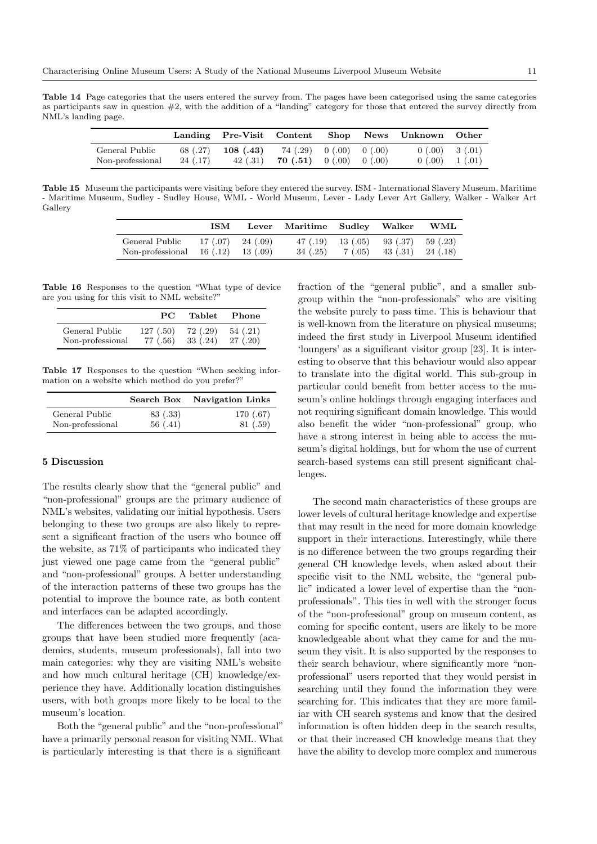Table 14 Page categories that the users entered the survey from. The pages have been categorised using the same categories as participants saw in question #2, with the addition of a "landing" category for those that entered the survey directly from NML's landing page.

|                                    |          |                     |                                                                          |  | Landing Pre-Visit Content Shop News Unknown Other |  |
|------------------------------------|----------|---------------------|--------------------------------------------------------------------------|--|---------------------------------------------------|--|
| General Public<br>Non-professional | 24 (.17) | $68(.27)$ 108 (.43) | $74(.29) \quad 0(.00) \quad 0(.00)$<br>42 (.31) 70 (.51) 0 (.00) 0 (.00) |  | $0(.00)$ 3 $(.01)$<br>$0(.00) \quad 1(.01)$       |  |

Table 15 Museum the participants were visiting before they entered the survey. ISM - International Slavery Museum, Maritime - Maritime Museum, Sudley - Sudley House, WML - World Museum, Lever - Lady Lever Art Gallery, Walker - Walker Art Gallery

|                                    | ISM     |                                 | Lever Maritime Sudley Walker |                    |                                            | WML |
|------------------------------------|---------|---------------------------------|------------------------------|--------------------|--------------------------------------------|-----|
| General Public<br>Non-professional | 16(.12) | $17(.07)$ $24(.09)$<br>13(0.09) | 47 (.19)<br>34 (.25)         | 13(0.05)<br>7(.05) | $93(.37)$ $59(.23)$<br>$43(.31)$ $24(.18)$ |     |

Table 16 Responses to the question "What type of device are you using for this visit to NML website?"

|                  | PC.      |          | Tablet Phone |
|------------------|----------|----------|--------------|
| General Public   | 127(.50) | 72 (.29) | 54(.21)      |
| Non-professional | 77 (.56) | 33(.24)  | 27(.20)      |

Table 17 Responses to the question "When seeking information on a website which method do you prefer?"

|                  | Search Box | <b>Navigation Links</b> |
|------------------|------------|-------------------------|
| General Public   | 83 (.33)   | 170 (.67)               |
| Non-professional | 56(.41)    | 81 (.59)                |

# 5 Discussion

The results clearly show that the "general public" and "non-professional" groups are the primary audience of NML's websites, validating our initial hypothesis. Users belonging to these two groups are also likely to represent a significant fraction of the users who bounce off the website, as 71% of participants who indicated they just viewed one page came from the "general public" and "non-professional" groups. A better understanding of the interaction patterns of these two groups has the potential to improve the bounce rate, as both content and interfaces can be adapted accordingly.

The differences between the two groups, and those groups that have been studied more frequently (academics, students, museum professionals), fall into two main categories: why they are visiting NML's website and how much cultural heritage (CH) knowledge/experience they have. Additionally location distinguishes users, with both groups more likely to be local to the museum's location.

Both the "general public" and the "non-professional" have a primarily personal reason for visiting NML. What is particularly interesting is that there is a significant

fraction of the "general public", and a smaller subgroup within the "non-professionals" who are visiting the website purely to pass time. This is behaviour that is well-known from the literature on physical museums; indeed the first study in Liverpool Museum identified 'loungers' as a significant visitor group [23]. It is interesting to observe that this behaviour would also appear to translate into the digital world. This sub-group in particular could benefit from better access to the museum's online holdings through engaging interfaces and not requiring significant domain knowledge. This would also benefit the wider "non-professional" group, who have a strong interest in being able to access the museum's digital holdings, but for whom the use of current search-based systems can still present significant challenges.

The second main characteristics of these groups are lower levels of cultural heritage knowledge and expertise that may result in the need for more domain knowledge support in their interactions. Interestingly, while there is no difference between the two groups regarding their general CH knowledge levels, when asked about their specific visit to the NML website, the "general public" indicated a lower level of expertise than the "nonprofessionals". This ties in well with the stronger focus of the "non-professional" group on museum content, as coming for specific content, users are likely to be more knowledgeable about what they came for and the museum they visit. It is also supported by the responses to their search behaviour, where significantly more "nonprofessional" users reported that they would persist in searching until they found the information they were searching for. This indicates that they are more familiar with CH search systems and know that the desired information is often hidden deep in the search results, or that their increased CH knowledge means that they have the ability to develop more complex and numerous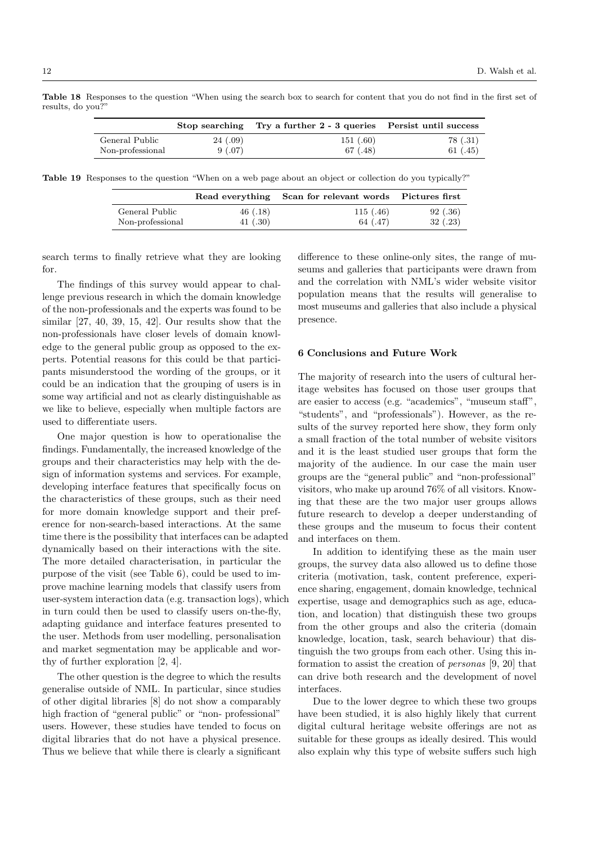| ., <i>.,</i>   |          |                                                                  |          |
|----------------|----------|------------------------------------------------------------------|----------|
|                |          | Stop searching Try a further 2 - 3 queries Persist until success |          |
| General Public | 24 (.09) | 151 (.60)                                                        | 78 (.31) |

Table 18 Responses to the question "When using the search box to search for content that you do not find in the first set of

Non-professional 9 (.07) 67 (.48) 61 (.45)

Table 19 Responses to the question "When on a web page about an object or collection do you typically?"

|                  |          | Read everything Scan for relevant words Pictures first |          |
|------------------|----------|--------------------------------------------------------|----------|
| General Public   | 46 (.18) | 115(.46)                                               | 92 (.36) |
| Non-professional | 41 (.30) | 64 (.47)                                               | 32(.23)  |

search terms to finally retrieve what they are looking for.

The findings of this survey would appear to challenge previous research in which the domain knowledge of the non-professionals and the experts was found to be similar [27, 40, 39, 15, 42]. Our results show that the non-professionals have closer levels of domain knowledge to the general public group as opposed to the experts. Potential reasons for this could be that participants misunderstood the wording of the groups, or it could be an indication that the grouping of users is in some way artificial and not as clearly distinguishable as we like to believe, especially when multiple factors are used to differentiate users.

One major question is how to operationalise the findings. Fundamentally, the increased knowledge of the groups and their characteristics may help with the design of information systems and services. For example, developing interface features that specifically focus on the characteristics of these groups, such as their need for more domain knowledge support and their preference for non-search-based interactions. At the same time there is the possibility that interfaces can be adapted dynamically based on their interactions with the site. The more detailed characterisation, in particular the purpose of the visit (see Table 6), could be used to improve machine learning models that classify users from user-system interaction data (e.g. transaction logs), which in turn could then be used to classify users on-the-fly, adapting guidance and interface features presented to the user. Methods from user modelling, personalisation and market segmentation may be applicable and worthy of further exploration [2, 4].

The other question is the degree to which the results generalise outside of NML. In particular, since studies of other digital libraries [8] do not show a comparably high fraction of "general public" or "non- professional" users. However, these studies have tended to focus on digital libraries that do not have a physical presence. Thus we believe that while there is clearly a significant

difference to these online-only sites, the range of museums and galleries that participants were drawn from and the correlation with NML's wider website visitor population means that the results will generalise to most museums and galleries that also include a physical presence.

#### 6 Conclusions and Future Work

The majority of research into the users of cultural heritage websites has focused on those user groups that are easier to access (e.g. "academics", "museum staff", "students", and "professionals"). However, as the results of the survey reported here show, they form only a small fraction of the total number of website visitors and it is the least studied user groups that form the majority of the audience. In our case the main user groups are the "general public" and "non-professional" visitors, who make up around 76% of all visitors. Knowing that these are the two major user groups allows future research to develop a deeper understanding of these groups and the museum to focus their content and interfaces on them.

In addition to identifying these as the main user groups, the survey data also allowed us to define those criteria (motivation, task, content preference, experience sharing, engagement, domain knowledge, technical expertise, usage and demographics such as age, education, and location) that distinguish these two groups from the other groups and also the criteria (domain knowledge, location, task, search behaviour) that distinguish the two groups from each other. Using this information to assist the creation of personas [9, 20] that can drive both research and the development of novel interfaces.

Due to the lower degree to which these two groups have been studied, it is also highly likely that current digital cultural heritage website offerings are not as suitable for these groups as ideally desired. This would also explain why this type of website suffers such high

results, do you?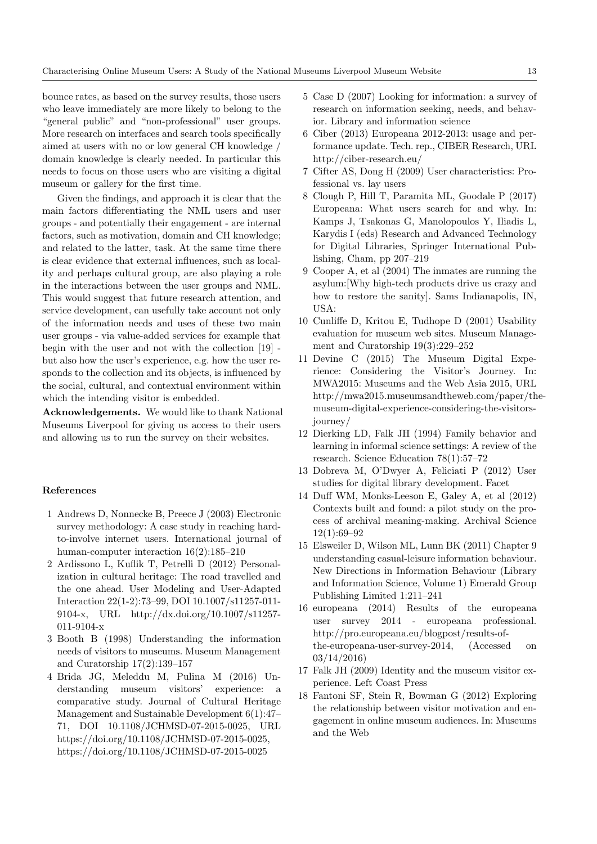bounce rates, as based on the survey results, those users who leave immediately are more likely to belong to the "general public" and "non-professional" user groups. More research on interfaces and search tools specifically aimed at users with no or low general CH knowledge / domain knowledge is clearly needed. In particular this needs to focus on those users who are visiting a digital museum or gallery for the first time.

Given the findings, and approach it is clear that the main factors differentiating the NML users and user groups - and potentially their engagement - are internal factors, such as motivation, domain and CH knowledge; and related to the latter, task. At the same time there is clear evidence that external influences, such as locality and perhaps cultural group, are also playing a role in the interactions between the user groups and NML. This would suggest that future research attention, and service development, can usefully take account not only of the information needs and uses of these two main user groups - via value-added services for example that begin with the user and not with the collection [19] but also how the user's experience, e.g. how the user responds to the collection and its objects, is influenced by the social, cultural, and contextual environment within which the intending visitor is embedded.

Acknowledgements. We would like to thank National Museums Liverpool for giving us access to their users and allowing us to run the survey on their websites.

## References

- 1 Andrews D, Nonnecke B, Preece J (2003) Electronic survey methodology: A case study in reaching hardto-involve internet users. International journal of human-computer interaction 16(2):185–210
- 2 Ardissono L, Kuflik T, Petrelli D (2012) Personalization in cultural heritage: The road travelled and the one ahead. User Modeling and User-Adapted Interaction 22(1-2):73–99, DOI 10.1007/s11257-011- 9104-x, URL http://dx.doi.org/10.1007/s11257- 011-9104-x
- 3 Booth B (1998) Understanding the information needs of visitors to museums. Museum Management and Curatorship 17(2):139–157
- 4 Brida JG, Meleddu M, Pulina M (2016) Understanding museum visitors' experience: a comparative study. Journal of Cultural Heritage Management and Sustainable Development 6(1):47– 71, DOI 10.1108/JCHMSD-07-2015-0025, URL https://doi.org/10.1108/JCHMSD-07-2015-0025, https://doi.org/10.1108/JCHMSD-07-2015-0025
- 5 Case D (2007) Looking for information: a survey of research on information seeking, needs, and behavior. Library and information science
- 6 Ciber (2013) Europeana 2012-2013: usage and performance update. Tech. rep., CIBER Research, URL http://ciber-research.eu/
- 7 Cifter AS, Dong H (2009) User characteristics: Professional vs. lay users
- 8 Clough P, Hill T, Paramita ML, Goodale P (2017) Europeana: What users search for and why. In: Kamps J, Tsakonas G, Manolopoulos Y, Iliadis L, Karydis I (eds) Research and Advanced Technology for Digital Libraries, Springer International Publishing, Cham, pp 207–219
- 9 Cooper A, et al (2004) The inmates are running the asylum:[Why high-tech products drive us crazy and how to restore the sanity]. Sams Indianapolis, IN, USA:
- 10 Cunliffe D, Kritou E, Tudhope D (2001) Usability evaluation for museum web sites. Museum Management and Curatorship 19(3):229–252
- 11 Devine C (2015) The Museum Digital Experience: Considering the Visitor's Journey. In: MWA2015: Museums and the Web Asia 2015, URL http://mwa2015.museumsandtheweb.com/paper/themuseum-digital-experience-considering-the-visitorsjourney/
- 12 Dierking LD, Falk JH (1994) Family behavior and learning in informal science settings: A review of the research. Science Education 78(1):57–72
- 13 Dobreva M, O'Dwyer A, Feliciati P (2012) User studies for digital library development. Facet
- 14 Duff WM, Monks-Leeson E, Galey A, et al (2012) Contexts built and found: a pilot study on the process of archival meaning-making. Archival Science 12(1):69–92
- 15 Elsweiler D, Wilson ML, Lunn BK (2011) Chapter 9 understanding casual-leisure information behaviour. New Directions in Information Behaviour (Library and Information Science, Volume 1) Emerald Group Publishing Limited 1:211–241
- 16 europeana (2014) Results of the europeana user survey 2014 - europeana professional. http://pro.europeana.eu/blogpost/results-ofthe-europeana-user-survey-2014, (Accessed on 03/14/2016)
- 17 Falk JH (2009) Identity and the museum visitor experience. Left Coast Press
- 18 Fantoni SF, Stein R, Bowman G (2012) Exploring the relationship between visitor motivation and engagement in online museum audiences. In: Museums and the Web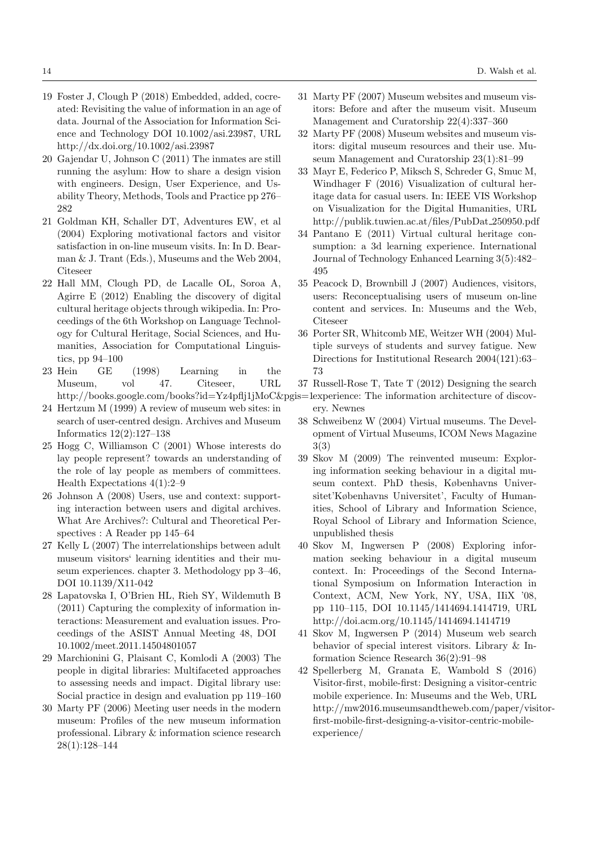- 19 Foster J, Clough P (2018) Embedded, added, cocreated: Revisiting the value of information in an age of data. Journal of the Association for Information Science and Technology DOI 10.1002/asi.23987, URL http://dx.doi.org/10.1002/asi.23987
- 20 Gajendar U, Johnson C (2011) The inmates are still running the asylum: How to share a design vision with engineers. Design, User Experience, and Usability Theory, Methods, Tools and Practice pp 276– 282
- 21 Goldman KH, Schaller DT, Adventures EW, et al (2004) Exploring motivational factors and visitor satisfaction in on-line museum visits. In: In D. Bearman & J. Trant (Eds.), Museums and the Web 2004, Citeseer
- 22 Hall MM, Clough PD, de Lacalle OL, Soroa A, Agirre E (2012) Enabling the discovery of digital cultural heritage objects through wikipedia. In: Proceedings of the 6th Workshop on Language Technology for Cultural Heritage, Social Sciences, and Humanities, Association for Computational Linguistics, pp 94–100
- 23 Hein GE (1998) Learning in the Museum, vol 47. Citeseer, URL
- 24 Hertzum M (1999) A review of museum web sites: in search of user-centred design. Archives and Museum Informatics 12(2):127–138
- 25 Hogg C, Williamson C (2001) Whose interests do lay people represent? towards an understanding of the role of lay people as members of committees. Health Expectations 4(1):2–9
- 26 Johnson A (2008) Users, use and context: supporting interaction between users and digital archives. What Are Archives?: Cultural and Theoretical Perspectives : A Reader pp 145–64
- 27 Kelly L (2007) The interrelationships between adult museum visitors' learning identities and their museum experiences. chapter 3. Methodology pp 3–46, DOI 10.1139/X11-042
- 28 Lapatovska I, O'Brien HL, Rieh SY, Wildemuth B (2011) Capturing the complexity of information interactions: Measurement and evaluation issues. Proceedings of the ASIST Annual Meeting 48, DOI 10.1002/meet.2011.14504801057
- 29 Marchionini G, Plaisant C, Komlodi A (2003) The people in digital libraries: Multifaceted approaches to assessing needs and impact. Digital library use: Social practice in design and evaluation pp 119–160
- 30 Marty PF (2006) Meeting user needs in the modern museum: Profiles of the new museum information professional. Library & information science research 28(1):128–144
- 31 Marty PF (2007) Museum websites and museum visitors: Before and after the museum visit. Museum Management and Curatorship 22(4):337–360
- 32 Marty PF (2008) Museum websites and museum visitors: digital museum resources and their use. Museum Management and Curatorship 23(1):81–99
- 33 Mayr E, Federico P, Miksch S, Schreder G, Smuc M, Windhager F (2016) Visualization of cultural heritage data for casual users. In: IEEE VIS Workshop on Visualization for the Digital Humanities, URL http://publik.tuwien.ac.at/files/PubDat 250950.pdf
- 34 Pantano E (2011) Virtual cultural heritage consumption: a 3d learning experience. International Journal of Technology Enhanced Learning 3(5):482– 495
- 35 Peacock D, Brownbill J (2007) Audiences, visitors, users: Reconceptualising users of museum on-line content and services. In: Museums and the Web, Citeseer
- 36 Porter SR, Whitcomb ME, Weitzer WH (2004) Multiple surveys of students and survey fatigue. New Directions for Institutional Research 2004(121):63– 73
- 37 Russell-Rose T, Tate T (2012) Designing the search

http://books.google.com/books?id=Yz4pflj1jMoC&pgis=1 experience: The information architecture of discovery. Newnes

- 38 Schweibenz W (2004) Virtual museums. The Development of Virtual Museums, ICOM News Magazine 3(3)
- 39 Skov M (2009) The reinvented museum: Exploring information seeking behaviour in a digital museum context. PhD thesis, Københavns Universitet'Københavns Universitet', Faculty of Humanities, School of Library and Information Science, Royal School of Library and Information Science, unpublished thesis
- 40 Skov M, Ingwersen P (2008) Exploring information seeking behaviour in a digital museum context. In: Proceedings of the Second International Symposium on Information Interaction in Context, ACM, New York, NY, USA, IIiX '08, pp 110–115, DOI 10.1145/1414694.1414719, URL http://doi.acm.org/10.1145/1414694.1414719
- 41 Skov M, Ingwersen P (2014) Museum web search behavior of special interest visitors. Library & Information Science Research 36(2):91–98
- 42 Spellerberg M, Granata E, Wambold S (2016) Visitor-first, mobile-first: Designing a visitor-centric mobile experience. In: Museums and the Web, URL http://mw2016.museumsandtheweb.com/paper/visitorfirst-mobile-first-designing-a-visitor-centric-mobileexperience/